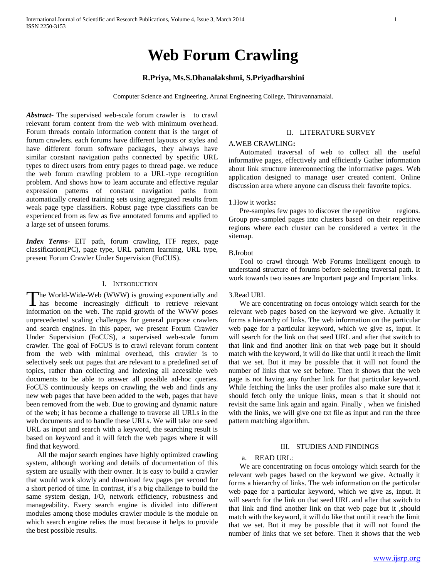# **Web Forum Crawling**

## **R.Priya, Ms.S.Dhanalakshmi, S.Priyadharshini**

Computer Science and Engineering, Arunai Engineering College, Thiruvannamalai.

Abstract - The supervised web-scale forum crawler is to crawl relevant forum content from the web with minimum overhead. Forum threads contain information content that is the target of forum crawlers. each forums have different layouts or styles and have different forum software packages, they always have similar constant navigation paths connected by specific URL types to direct users from entry pages to thread page. we reduce the web forum crawling problem to a URL-type recognition problem. And shows how to learn accurate and effective regular expression patterns of constant navigation paths from automatically created training sets using aggregated results from weak page type classifiers. Robust page type classifiers can be experienced from as few as five annotated forums and applied to a large set of unseen forums.

*Index Terms*- EIT path, forum crawling, ITF regex, page classification(PC), page type, URL pattern learning, URL type, present Forum Crawler Under Supervision (FoCUS).

#### I. INTRODUCTION

The World-Wide-Web (WWW) is growing exponentially and The World-Wide-Web (WWW) is growing exponentially and<br>has become increasingly difficult to retrieve relevant information on the web. The rapid growth of the WWW poses unprecedented scaling challenges for general purpose crawlers and search engines. In this paper, we present Forum Crawler Under Supervision (FoCUS), a supervised web-scale forum crawler. The goal of FoCUS is to crawl relevant forum content from the web with minimal overhead, this crawler is to selectively seek out pages that are relevant to a predefined set of topics, rather than collecting and indexing all accessible web documents to be able to answer all possible ad-hoc queries. FoCUS continuously keeps on crawling the web and finds any new web pages that have been added to the web, pages that have been removed from the web. Due to growing and dynamic nature of the web; it has become a challenge to traverse all URLs in the web documents and to handle these URLs. We will take one seed URL as input and search with a keyword, the searching result is based on keyword and it will fetch the web pages where it will find that keyword.

 All the major search engines have highly optimized crawling system, although working and details of documentation of this system are usually with their owner. It is easy to build a crawler that would work slowly and download few pages per second for a short period of time. In contrast, it's a big challenge to build the same system design, I/O, network efficiency, robustness and manageability. Every search engine is divided into different modules among those modules crawler module is the module on which search engine relies the most because it helps to provide the best possible results.

#### II. LITERATURE SURVEY

#### A.WEB CRAWLING**:**

 Automated traversal of web to collect all the useful informative pages, effectively and efficiently Gather information about link structure interconnecting the informative pages. Web application designed to manage user created content. Online discussion area where anyone can discuss their favorite topics.

#### 1.How it works**:**

Pre-samples few pages to discover the repetitive regions. Group pre-sampled pages into clusters based on their repetitive regions where each cluster can be considered a vertex in the sitemap.

#### B.Irobot

 Tool to crawl through Web Forums Intelligent enough to understand structure of forums before selecting traversal path. It work towards two issues are Important page and Important links.

#### 3.Read URL

 We are concentrating on focus ontology which search for the relevant web pages based on the keyword we give. Actually it forms a hierarchy of links. The web information on the particular web page for a particular keyword, which we give as, input. It will search for the link on that seed URL and after that switch to that link and find another link on that web page but it should match with the keyword, it will do like that until it reach the limit that we set. But it may be possible that it will not found the number of links that we set before. Then it shows that the web page is not having any further link for that particular keyword. While fetching the links the user profiles also make sure that it should fetch only the unique links, mean s that it should not revisit the same link again and again. Finally , when we finished with the links, we will give one txt file as input and run the three pattern matching algorithm.

#### III. STUDIES AND FINDINGS

#### a. READ URL:

 We are concentrating on focus ontology which search for the relevant web pages based on the keyword we give. Actually it forms a hierarchy of links. The web information on the particular web page for a particular keyword, which we give as, input. It will search for the link on that seed URL and after that switch to that link and find another link on that web page but it ,should match with the keyword, it will do like that until it reach the limit that we set. But it may be possible that it will not found the number of links that we set before. Then it shows that the web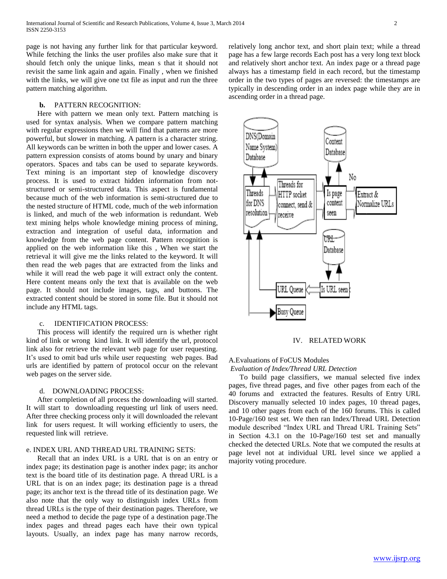page is not having any further link for that particular keyword. While fetching the links the user profiles also make sure that it should fetch only the unique links, mean s that it should not revisit the same link again and again. Finally , when we finished with the links, we will give one txt file as input and run the three pattern matching algorithm.

#### **b.** PATTERN RECOGNITION:

 Here with pattern we mean only text. Pattern matching is used for syntax analysis. When we compare pattern matching with regular expressions then we will find that patterns are more powerful, but slower in matching. A pattern is a character string. All keywords can be written in both the upper and lower cases. A pattern expression consists of atoms bound by unary and binary operators. Spaces and tabs can be used to separate keywords. Text mining is an important step of knowledge discovery process. It is used to extract hidden information from notstructured or semi-structured data. This aspect is fundamental because much of the web information is semi-structured due to the nested structure of HTML code, much of the web information is linked, and much of the web information is redundant. Web text mining helps whole knowledge mining process of mining, extraction and integration of useful data, information and knowledge from the web page content. Pattern recognition is applied on the web information like this , When we start the retrieval it will give me the links related to the keyword. It will then read the web pages that are extracted from the links and while it will read the web page it will extract only the content. Here content means only the text that is available on the web page. It should not include images, tags, and buttons. The extracted content should be stored in some file. But it should not include any HTML tags.

#### c. IDENTIFICATION PROCESS:

 This process will identify the required urn is whether right kind of link or wrong kind link. It will identify the url, protocol link also for retrieve the relevant web page for user requesting. It's used to omit bad urls while user requesting web pages. Bad urls are identified by pattern of protocol occur on the relevant web pages on the server side.

#### d. DOWNLOADING PROCESS:

 After completion of all process the downloading will started. It will start to downloading requesting url link of users need. After three checking process only it will downloaded the relevant link for users request. It will working efficiently to users, the requested link will retrieve.

### e. INDEX URL AND THREAD URL TRAINING SETS:

 Recall that an index URL is a URL that is on an entry or index page; its destination page is another index page; its anchor text is the board title of its destination page. A thread URL is a URL that is on an index page; its destination page is a thread page; its anchor text is the thread title of its destination page. We also note that the only way to distinguish index URLs from thread URLs is the type of their destination pages. Therefore, we need a method to decide the page type of a destination page.The index pages and thread pages each have their own typical layouts. Usually, an index page has many narrow records, relatively long anchor text, and short plain text; while a thread page has a few large records Each post has a very long text block and relatively short anchor text. An index page or a thread page always has a timestamp field in each record, but the timestamp order in the two types of pages are reversed: the timestamps are typically in descending order in an index page while they are in ascending order in a thread page.



IV. RELATED WORK

# A.Evaluations of FoCUS Modules

*Evaluation of Index/Thread URL Detection* To build page classifiers, we manual selected five index pages, five thread pages, and five other pages from each of the 40 forums and extracted the features. Results of Entry URL

Discovery manually selected 10 index pages, 10 thread pages, and 10 other pages from each of the 160 forums. This is called 10-Page/160 test set. We then ran Index/Thread URL Detection module described "Index URL and Thread URL Training Sets" in Section 4.3.1 on the 10-Page/160 test set and manually checked the detected URLs. Note that we computed the results at page level not at individual URL level since we applied a majority voting procedure.